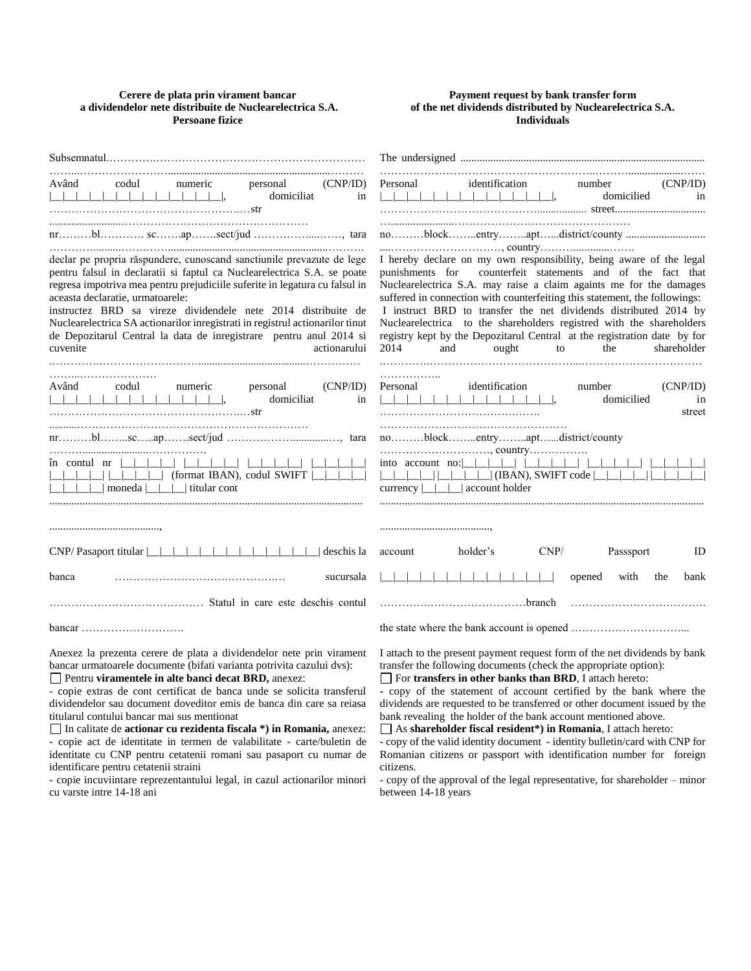### **Cerere de plata prin virament bancar a dividendelor nete distribuite de Nuclearelectrica S.A. Persoane fizice**

### **Payment request by bank transfer form of the net dividends distributed by Nuclearelectrica S.A. Individuals**

| codul<br>(CNP/ID)<br>Având<br>numeric<br>personal<br>domiciliat<br>in                                                                                                                                                                                                                                                                                                                                                                                                                                                                                                                                                                                                   | Personal<br>identification<br>(CNP/ID)<br>number<br>$\Box$<br>domicilied<br>in                                                                                                                                                                                                                                                                                                                                                                                                                                                                                                                                                                                            |  |  |
|-------------------------------------------------------------------------------------------------------------------------------------------------------------------------------------------------------------------------------------------------------------------------------------------------------------------------------------------------------------------------------------------------------------------------------------------------------------------------------------------------------------------------------------------------------------------------------------------------------------------------------------------------------------------------|---------------------------------------------------------------------------------------------------------------------------------------------------------------------------------------------------------------------------------------------------------------------------------------------------------------------------------------------------------------------------------------------------------------------------------------------------------------------------------------------------------------------------------------------------------------------------------------------------------------------------------------------------------------------------|--|--|
|                                                                                                                                                                                                                                                                                                                                                                                                                                                                                                                                                                                                                                                                         |                                                                                                                                                                                                                                                                                                                                                                                                                                                                                                                                                                                                                                                                           |  |  |
| declar pe propria răspundere, cunoscand sanctiunile prevazute de lege<br>pentru falsul in declaratii si faptul ca Nuclearelectrica S.A. se poate<br>regresa impotriva mea pentru prejudiciile suferite in legatura cu falsul in<br>aceasta declaratie, urmatoarele:<br>instructez BRD sa vireze dividendele nete 2014 distribuite de<br>Nuclearelectrica SA actionarilor inregistrati in registrul actionarilor tinut<br>de Depozitarul Central la data de inregistrare pentru anul 2014 si<br>cuvenite<br>actionarului                                                                                                                                                 | I hereby declare on my own responsibility, being aware of the legal<br>counterfeit statements and of the fact that<br>punishments for<br>Nuclearelectrica S.A. may raise a claim againts me for the damages<br>suffered in connection with counterfeiting this statement, the followings:<br>I instruct BRD to transfer the net dividends distributed 2014 by<br>Nuclearelectrica to the shareholders registred with the shareholders<br>registry kept by the Depozitarul Central at the registration date by for<br>2014<br>ought<br>to<br>the<br>shareholder<br>and                                                                                                     |  |  |
| (CNP/ID)<br>codul<br>numeric<br>personal<br>Având<br>$\begin{tabular}{c} \multicolumn{2}{c} {\textbf{1}} & \multicolumn{2}{c} {\textbf{1}} & \multicolumn{2}{c} {\textbf{1}} & \multicolumn{2}{c} {\textbf{1}} \\ \multicolumn{2}{c} {\textbf{2}} & \multicolumn{2}{c} {\textbf{3}} & \multicolumn{2}{c} {\textbf{4}} & \multicolumn{2}{c} {\textbf{5}} \\ \multicolumn{2}{c} {\textbf{4}} & \multicolumn{2}{c} {\textbf{5}} & \multicolumn{2}{c} {\textbf{6}} & \multicolumn{2}{c} {\textbf{6}} \\ \multicolumn{2}{c} {\textbf{5}} & \multicolumn$<br>domiciliat<br>in                                                                                                 | identification<br>(CNP/ID)<br>Personal<br>number<br>domicilied<br>in<br>street                                                                                                                                                                                                                                                                                                                                                                                                                                                                                                                                                                                            |  |  |
|                                                                                                                                                                                                                                                                                                                                                                                                                                                                                                                                                                                                                                                                         | noblockentryaptdistrict/county                                                                                                                                                                                                                                                                                                                                                                                                                                                                                                                                                                                                                                            |  |  |
| $\hat{m}$ contul $nr$                                <br>$\Box$   $\Box$ $\Box$ (format IBAN), codul SWIFT $\Box$<br>$\vert \vert$     moneda           titular cont                                                                                                                                                                                                                                                                                                                                                                                                                                                                                                    | , country<br>currency $\boxed{\underline{\qquad}}$ account holder                                                                                                                                                                                                                                                                                                                                                                                                                                                                                                                                                                                                         |  |  |
|                                                                                                                                                                                                                                                                                                                                                                                                                                                                                                                                                                                                                                                                         |                                                                                                                                                                                                                                                                                                                                                                                                                                                                                                                                                                                                                                                                           |  |  |
|                                                                                                                                                                                                                                                                                                                                                                                                                                                                                                                                                                                                                                                                         |                                                                                                                                                                                                                                                                                                                                                                                                                                                                                                                                                                                                                                                                           |  |  |
| deschis la                                                                                                                                                                                                                                                                                                                                                                                                                                                                                                                                                                                                                                                              | CNP/<br>Passsport<br>holder's<br>ID<br>account                                                                                                                                                                                                                                                                                                                                                                                                                                                                                                                                                                                                                            |  |  |
| banca<br>sucursala                                                                                                                                                                                                                                                                                                                                                                                                                                                                                                                                                                                                                                                      | opened<br>with<br>the<br>bank                                                                                                                                                                                                                                                                                                                                                                                                                                                                                                                                                                                                                                             |  |  |
|                                                                                                                                                                                                                                                                                                                                                                                                                                                                                                                                                                                                                                                                         |                                                                                                                                                                                                                                                                                                                                                                                                                                                                                                                                                                                                                                                                           |  |  |
|                                                                                                                                                                                                                                                                                                                                                                                                                                                                                                                                                                                                                                                                         |                                                                                                                                                                                                                                                                                                                                                                                                                                                                                                                                                                                                                                                                           |  |  |
| Anexez la prezenta cerere de plata a dividendelor nete prin virament<br>bancar urmatoarele documente (bifati varianta potrivita cazului dvs):<br>Pentru viramentele in alte banci decat BRD, anexez:<br>- copie extras de cont certificat de banca unde se solicita transferul<br>dividendelor sau document doveditor emis de banca din care sa reiasa<br>titularul contului bancar mai sus mentionat<br>□ In calitate de actionar cu rezidenta fiscala *) in Romania, anexez:<br>- copie act de identitate in termen de valabilitate - carte/buletin de<br>identitate cu CNP pentru cetatenii romani sau pasaport cu numar de<br>identificare pentru cetatenii straini | I attach to the present payment request form of the net dividends by bank<br>transfer the following documents (check the appropriate option):<br>For transfers in other banks than BRD, I attach hereto:<br>- copy of the statement of account certified by the bank where the<br>dividends are requested to be transferred or other document issued by the<br>bank revealing the holder of the bank account mentioned above.<br>$\Box$ As shareholder fiscal resident*) in Romania, I attach hereto:<br>- copy of the valid identity document - identity bulletin/card with CNP for<br>Romanian citizens or passport with identification number for foreign<br>citizens. |  |  |
| - copie incuviintare reprezentantului legal, in cazul actionarilor minori<br>cu varste intre 14-18 ani                                                                                                                                                                                                                                                                                                                                                                                                                                                                                                                                                                  | - copy of the approval of the legal representative, for shareholder – minor<br>between 14-18 years                                                                                                                                                                                                                                                                                                                                                                                                                                                                                                                                                                        |  |  |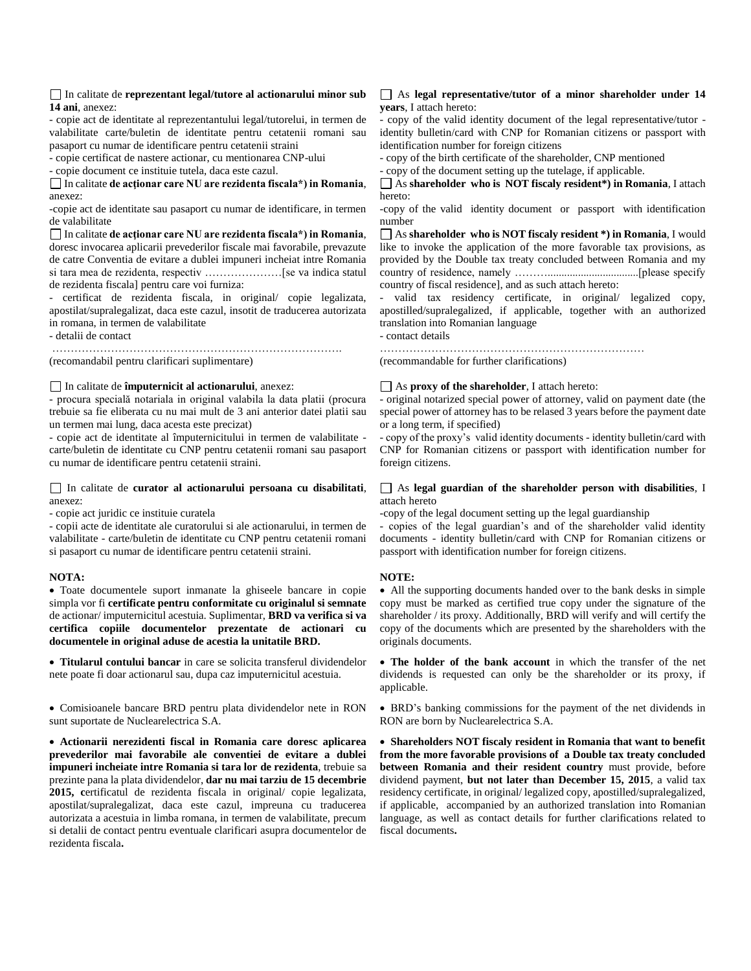### In calitate de **reprezentant legal/tutore al actionarului minor sub 14 ani**, anexez:

- copie act de identitate al reprezentantului legal/tutorelui, in termen de valabilitate carte/buletin de identitate pentru cetatenii romani sau pasaport cu numar de identificare pentru cetatenii straini

- copie certificat de nastere actionar, cu mentionarea CNP-ului

- copie document ce instituie tutela, daca este cazul.

In calitate **de acţionar care NU are rezidenta fiscala\*) in Romania**, anexez:

-copie act de identitate sau pasaport cu numar de identificare, in termen de valabilitate

In calitate **de acţionar care NU are rezidenta fiscala\*) in Romania**, doresc invocarea aplicarii prevederilor fiscale mai favorabile, prevazute de catre Conventia de evitare a dublei impuneri incheiat intre Romania si tara mea de rezidenta, respectiv …………………[se va indica statul de rezidenta fiscala] pentru care voi furniza:

- certificat de rezidenta fiscala, in original/ copie legalizata, apostilat/supralegalizat, daca este cazul, insotit de traducerea autorizata in romana, in termen de valabilitate

- detalii de contact

……………………………………………………………………. (recomandabil pentru clarificari suplimentare)

## In calitate de **împuternicit al actionarului**, anexez:

- procura specială notariala in original valabila la data platii (procura trebuie sa fie eliberata cu nu mai mult de 3 ani anterior datei platii sau un termen mai lung, daca acesta este precizat)

- copie act de identitate al împuternicitului in termen de valabilitate carte/buletin de identitate cu CNP pentru cetatenii romani sau pasaport cu numar de identificare pentru cetatenii straini.

### In calitate de **curator al actionarului persoana cu disabilitati**, anexez:

- copie act juridic ce instituie curatela

- copii acte de identitate ale curatorului si ale actionarului, in termen de valabilitate - carte/buletin de identitate cu CNP pentru cetatenii romani si pasaport cu numar de identificare pentru cetatenii straini.

# **NOTA:**

 Toate documentele suport inmanate la ghiseele bancare in copie simpla vor fi **certificate pentru conformitate cu originalul si semnate** de actionar/ imputernicitul acestuia. Suplimentar, **BRD va verifica si va certifica copiile documentelor prezentate de actionari cu documentele in original aduse de acestia la unitatile BRD.**

 **Titularul contului bancar** in care se solicita transferul dividendelor nete poate fi doar actionarul sau, dupa caz imputernicitul acestuia.

 Comisioanele bancare BRD pentru plata dividendelor nete in RON sunt suportate de Nuclearelectrica S.A.

 **Actionarii nerezidenti fiscal in Romania care doresc aplicarea prevederilor mai favorabile ale conventiei de evitare a dublei impuneri incheiate intre Romania si tara lor de rezidenta**, trebuie sa prezinte pana la plata dividendelor, **dar nu mai tarziu de 15 decembrie 2015, c**ertificatul de rezidenta fiscala in original/ copie legalizata, apostilat/supralegalizat, daca este cazul, impreuna cu traducerea autorizata a acestuia in limba romana, in termen de valabilitate, precum si detalii de contact pentru eventuale clarificari asupra documentelor de rezidenta fiscala**.**

### As **legal representative/tutor of a minor shareholder under 14 years**, I attach hereto:

- copy of the valid identity document of the legal representative/tutor identity bulletin/card with CNP for Romanian citizens or passport with identification number for foreign citizens

- copy of the birth certificate of the shareholder, CNP mentioned

- copy of the document setting up the tutelage, if applicable.

As **shareholder who is NOT fiscaly resident\*) in Romania**, I attach hereto:

-copy of the valid identity document or passport with identification number

As **shareholder who is NOT fiscaly resident \*) in Romania**, I would like to invoke the application of the more favorable tax provisions, as provided by the Double tax treaty concluded between Romania and my country of residence, namely ……….................................[please specify country of fiscal residence], and as such attach hereto:

- valid tax residency certificate, in original/ legalized copy, apostilled/supralegalized, if applicable, together with an authorized translation into Romanian language

- contact details

………………………………………………………………

(recommandable for further clarifications)

# As **proxy of the shareholder**, I attach hereto:

- original notarized special power of attorney, valid on payment date (the special power of attorney has to be relased 3 years before the payment date or a long term, if specified)

- copy of the proxy's valid identity documents - identity bulletin/card with CNP for Romanian citizens or passport with identification number for foreign citizens.

## As **legal guardian of the shareholder person with disabilities**, I attach hereto

-copy of the legal document setting up the legal guardianship

copies of the legal guardian's and of the shareholder valid identity documents - identity bulletin/card with CNP for Romanian citizens or passport with identification number for foreign citizens.

# **NOTE:**

 All the supporting documents handed over to the bank desks in simple copy must be marked as certified true copy under the signature of the shareholder / its proxy. Additionally, BRD will verify and will certify the copy of the documents which are presented by the shareholders with the originals documents.

 **The holder of the bank account** in which the transfer of the net dividends is requested can only be the shareholder or its proxy, if applicable.

 BRD's banking commissions for the payment of the net dividends in RON are born by Nuclearelectrica S.A.

 **Shareholders NOT fiscaly resident in Romania that want to benefit from the more favorable provisions of a Double tax treaty concluded between Romania and their resident country** must provide, before dividend payment, **but not later than December 15, 2015**, a valid tax residency certificate, in original/ legalized copy, apostilled/supralegalized, if applicable, accompanied by an authorized translation into Romanian language, as well as contact details for further clarifications related to fiscal documents**.**